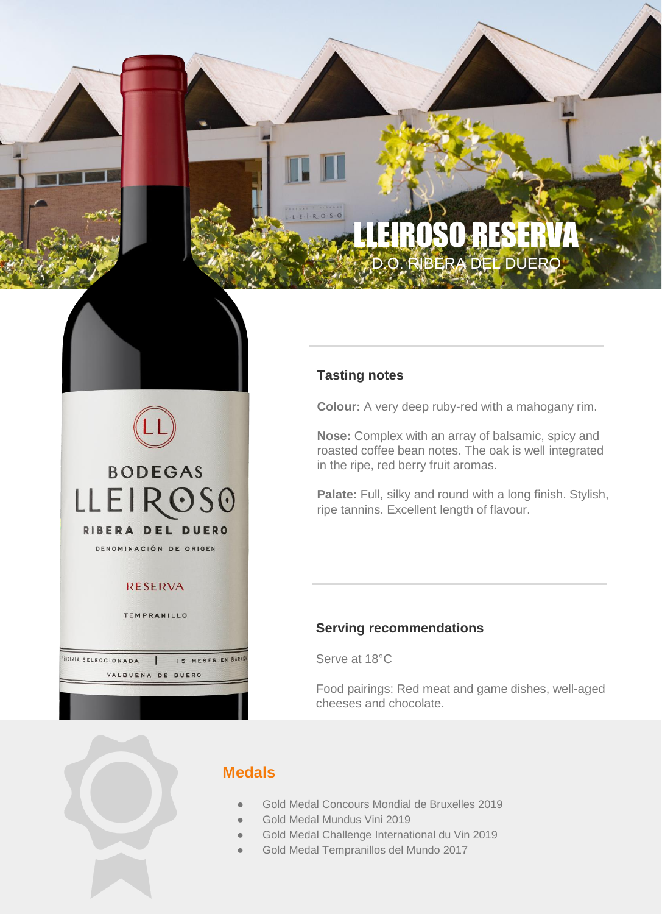# **LLERSE BERA DEL DUERO**

#### **Tasting notes**

**Colour:** A very deep ruby-red with a mahogany rim.

**Nose:** Complex with an array of balsamic, spicy and roasted coffee bean notes. The oak is well integrated in the ripe, red berry fruit aromas.

Palate: Full, silky and round with a long finish. Stylish, ripe tannins. Excellent length of flavour.

#### **Serving recommendations**

Serve at 18°C

Food pairings: Red meat and game dishes, well-aged cheeses and chocolate.

**IENDIMIA SELECCIONADA** 

**BODEGAS** 

**LLEIROSO** 

RIBERA DEL DUERO DENOMINACIÓN DE ORIGEN

**RESERVA** 

TEMPRANILLO

VALBUENA DE DUERO

IS MESES EN BARRIC

### **Medals**

- Gold Medal Concours Mondial de Bruxelles 2019
- Gold Medal Mundus Vini 2019
- Gold Medal Challenge International du Vin 2019
	- Gold Medal Tempranillos del Mundo 2017